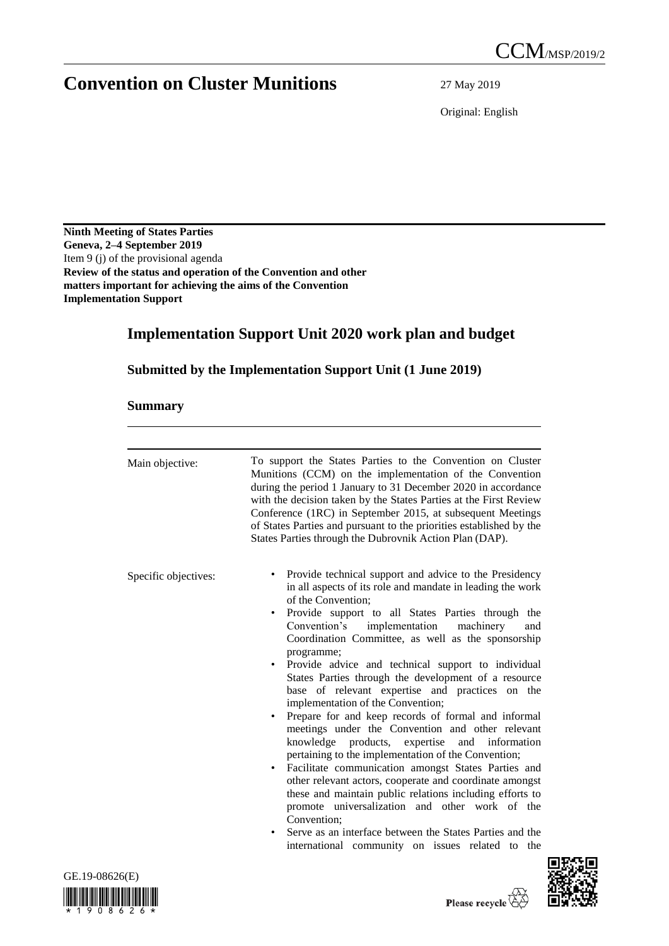# **Convention on Cluster Munitions** 27 May 2019

Original: English

**Ninth Meeting of States Parties Geneva, 2–4 September 2019** Item 9 (j) of the provisional agenda **Review of the status and operation of the Convention and other matters important for achieving the aims of the Convention Implementation Support**

## **Implementation Support Unit 2020 work plan and budget**

**Submitted by the Implementation Support Unit (1 June 2019)**

## **Summary**

| Main objective:      | To support the States Parties to the Convention on Cluster<br>Munitions (CCM) on the implementation of the Convention<br>during the period 1 January to 31 December 2020 in accordance<br>with the decision taken by the States Parties at the First Review<br>Conference (1RC) in September 2015, at subsequent Meetings<br>of States Parties and pursuant to the priorities established by the<br>States Parties through the Dubrovnik Action Plan (DAP).                                                                                                                                                                                                                                                                                                                                                                                                                                                                                                                                                                                                                                                                      |
|----------------------|----------------------------------------------------------------------------------------------------------------------------------------------------------------------------------------------------------------------------------------------------------------------------------------------------------------------------------------------------------------------------------------------------------------------------------------------------------------------------------------------------------------------------------------------------------------------------------------------------------------------------------------------------------------------------------------------------------------------------------------------------------------------------------------------------------------------------------------------------------------------------------------------------------------------------------------------------------------------------------------------------------------------------------------------------------------------------------------------------------------------------------|
| Specific objectives: | Provide technical support and advice to the Presidency<br>in all aspects of its role and mandate in leading the work<br>of the Convention:<br>Provide support to all States Parties through the<br>٠<br>implementation<br>Convention's<br>machinery<br>and<br>Coordination Committee, as well as the sponsorship<br>programme;<br>Provide advice and technical support to individual<br>States Parties through the development of a resource<br>base of relevant expertise and practices on the<br>implementation of the Convention;<br>Prepare for and keep records of formal and informal<br>٠<br>meetings under the Convention and other relevant<br>knowledge products, expertise and information<br>pertaining to the implementation of the Convention;<br>Facilitate communication amongst States Parties and<br>٠<br>other relevant actors, cooperate and coordinate amongst<br>these and maintain public relations including efforts to<br>promote universalization and other work of the<br>Convention:<br>Serve as an interface between the States Parties and the<br>international community on issues related to the |



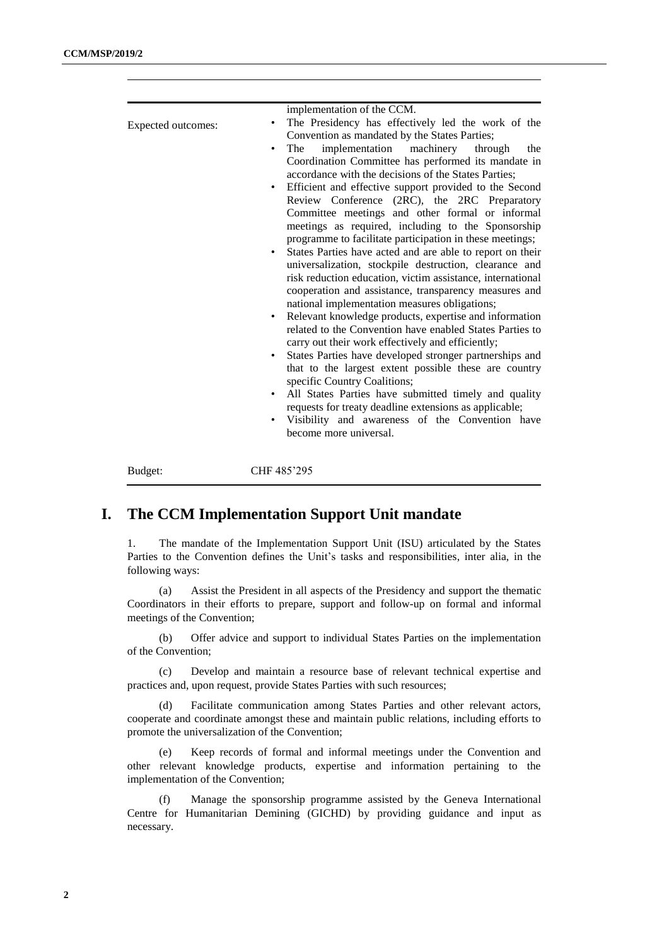| Expected outcomes: | implementation of the CCM.<br>The Presidency has effectively led the work of the<br>Convention as mandated by the States Parties;<br>implementation<br>machinery<br>The<br>through<br>the<br>Coordination Committee has performed its mandate in<br>accordance with the decisions of the States Parties;<br>Efficient and effective support provided to the Second<br>Review Conference (2RC), the 2RC Preparatory<br>Committee meetings and other formal or informal<br>meetings as required, including to the Sponsorship<br>programme to facilitate participation in these meetings;<br>States Parties have acted and are able to report on their<br>universalization, stockpile destruction, clearance and<br>risk reduction education, victim assistance, international<br>cooperation and assistance, transparency measures and<br>national implementation measures obligations;<br>Relevant knowledge products, expertise and information<br>٠<br>related to the Convention have enabled States Parties to<br>carry out their work effectively and efficiently;<br>States Parties have developed stronger partnerships and<br>٠<br>that to the largest extent possible these are country<br>specific Country Coalitions;<br>All States Parties have submitted timely and quality<br>requests for treaty deadline extensions as applicable;<br>Visibility and awareness of the Convention have<br>become more universal. |
|--------------------|--------------------------------------------------------------------------------------------------------------------------------------------------------------------------------------------------------------------------------------------------------------------------------------------------------------------------------------------------------------------------------------------------------------------------------------------------------------------------------------------------------------------------------------------------------------------------------------------------------------------------------------------------------------------------------------------------------------------------------------------------------------------------------------------------------------------------------------------------------------------------------------------------------------------------------------------------------------------------------------------------------------------------------------------------------------------------------------------------------------------------------------------------------------------------------------------------------------------------------------------------------------------------------------------------------------------------------------------------------------------------------------------------------------------------------|
| Budget:            | CHF 485'295                                                                                                                                                                                                                                                                                                                                                                                                                                                                                                                                                                                                                                                                                                                                                                                                                                                                                                                                                                                                                                                                                                                                                                                                                                                                                                                                                                                                                    |

## **I. The CCM Implementation Support Unit mandate**

1. The mandate of the Implementation Support Unit (ISU) articulated by the States Parties to the Convention defines the Unit's tasks and responsibilities, inter alia, in the following ways:

(a) Assist the President in all aspects of the Presidency and support the thematic Coordinators in their efforts to prepare, support and follow-up on formal and informal meetings of the Convention;

(b) Offer advice and support to individual States Parties on the implementation of the Convention;

(c) Develop and maintain a resource base of relevant technical expertise and practices and, upon request, provide States Parties with such resources;

(d) Facilitate communication among States Parties and other relevant actors, cooperate and coordinate amongst these and maintain public relations, including efforts to promote the universalization of the Convention;

(e) Keep records of formal and informal meetings under the Convention and other relevant knowledge products, expertise and information pertaining to the implementation of the Convention;

(f) Manage the sponsorship programme assisted by the Geneva International Centre for Humanitarian Demining (GICHD) by providing guidance and input as necessary.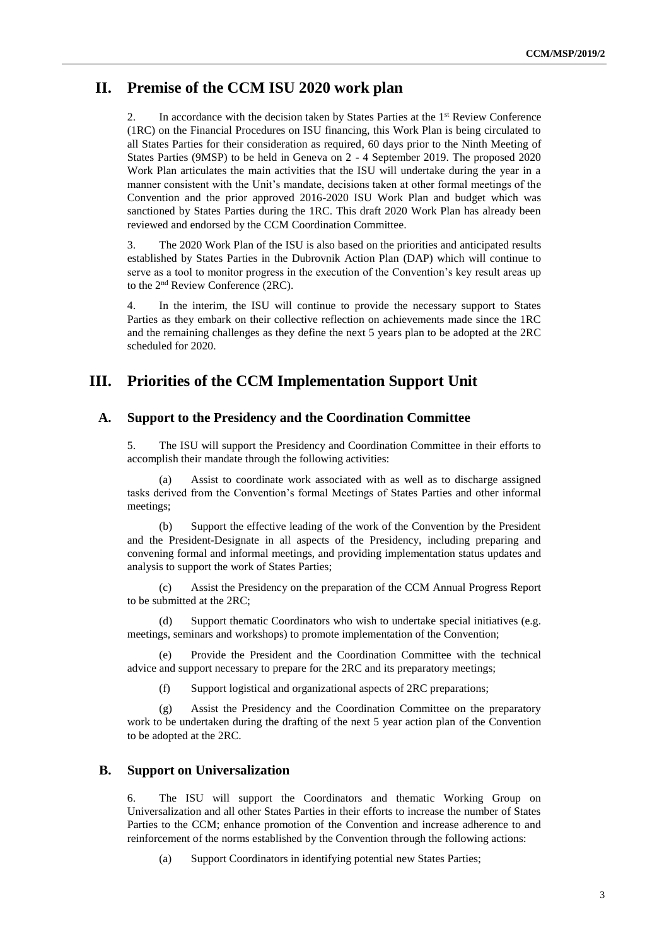## **II. Premise of the CCM ISU 2020 work plan**

2. In accordance with the decision taken by States Parties at the 1<sup>st</sup> Review Conference (1RC) on the Financial Procedures on ISU financing, this Work Plan is being circulated to all States Parties for their consideration as required, 60 days prior to the Ninth Meeting of States Parties (9MSP) to be held in Geneva on 2 - 4 September 2019. The proposed 2020 Work Plan articulates the main activities that the ISU will undertake during the year in a manner consistent with the Unit's mandate, decisions taken at other formal meetings of the Convention and the prior approved 2016-2020 ISU Work Plan and budget which was sanctioned by States Parties during the 1RC. This draft 2020 Work Plan has already been reviewed and endorsed by the CCM Coordination Committee.

3. The 2020 Work Plan of the ISU is also based on the priorities and anticipated results established by States Parties in the Dubrovnik Action Plan (DAP) which will continue to serve as a tool to monitor progress in the execution of the Convention's key result areas up to the 2nd Review Conference (2RC).

4. In the interim, the ISU will continue to provide the necessary support to States Parties as they embark on their collective reflection on achievements made since the 1RC and the remaining challenges as they define the next 5 years plan to be adopted at the 2RC scheduled for 2020.

## **III. Priorities of the CCM Implementation Support Unit**

#### **A. Support to the Presidency and the Coordination Committee**

5. The ISU will support the Presidency and Coordination Committee in their efforts to accomplish their mandate through the following activities:

(a) Assist to coordinate work associated with as well as to discharge assigned tasks derived from the Convention's formal Meetings of States Parties and other informal meetings;

(b) Support the effective leading of the work of the Convention by the President and the President-Designate in all aspects of the Presidency, including preparing and convening formal and informal meetings, and providing implementation status updates and analysis to support the work of States Parties;

(c) Assist the Presidency on the preparation of the CCM Annual Progress Report to be submitted at the 2RC;

(d) Support thematic Coordinators who wish to undertake special initiatives (e.g. meetings, seminars and workshops) to promote implementation of the Convention;

Provide the President and the Coordination Committee with the technical advice and support necessary to prepare for the 2RC and its preparatory meetings;

(f) Support logistical and organizational aspects of 2RC preparations;

(g) Assist the Presidency and the Coordination Committee on the preparatory work to be undertaken during the drafting of the next 5 year action plan of the Convention to be adopted at the 2RC.

### **B. Support on Universalization**

6. The ISU will support the Coordinators and thematic Working Group on Universalization and all other States Parties in their efforts to increase the number of States Parties to the CCM; enhance promotion of the Convention and increase adherence to and reinforcement of the norms established by the Convention through the following actions:

(a) Support Coordinators in identifying potential new States Parties;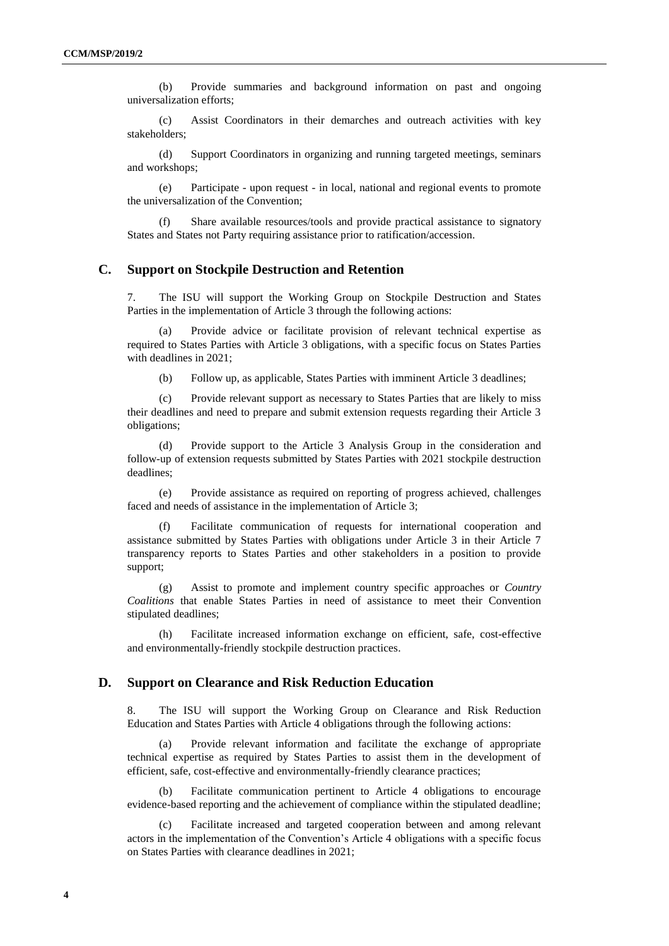(b) Provide summaries and background information on past and ongoing universalization efforts;

(c) Assist Coordinators in their demarches and outreach activities with key stakeholders;

(d) Support Coordinators in organizing and running targeted meetings, seminars and workshops;

(e) Participate - upon request - in local, national and regional events to promote the universalization of the Convention;

Share available resources/tools and provide practical assistance to signatory States and States not Party requiring assistance prior to ratification/accession.

#### **C. Support on Stockpile Destruction and Retention**

7. The ISU will support the Working Group on Stockpile Destruction and States Parties in the implementation of Article 3 through the following actions:

(a) Provide advice or facilitate provision of relevant technical expertise as required to States Parties with Article 3 obligations, with a specific focus on States Parties with deadlines in 2021;

(b) Follow up, as applicable, States Parties with imminent Article 3 deadlines;

(c) Provide relevant support as necessary to States Parties that are likely to miss their deadlines and need to prepare and submit extension requests regarding their Article 3 obligations;

(d) Provide support to the Article 3 Analysis Group in the consideration and follow-up of extension requests submitted by States Parties with 2021 stockpile destruction deadlines;

(e) Provide assistance as required on reporting of progress achieved, challenges faced and needs of assistance in the implementation of Article 3;

Facilitate communication of requests for international cooperation and assistance submitted by States Parties with obligations under Article 3 in their Article 7 transparency reports to States Parties and other stakeholders in a position to provide support;

(g) Assist to promote and implement country specific approaches or *Country Coalitions* that enable States Parties in need of assistance to meet their Convention stipulated deadlines;

(h) Facilitate increased information exchange on efficient, safe, cost-effective and environmentally-friendly stockpile destruction practices.

#### **D. Support on Clearance and Risk Reduction Education**

8. The ISU will support the Working Group on Clearance and Risk Reduction Education and States Parties with Article 4 obligations through the following actions:

(a) Provide relevant information and facilitate the exchange of appropriate technical expertise as required by States Parties to assist them in the development of efficient, safe, cost-effective and environmentally-friendly clearance practices;

Facilitate communication pertinent to Article 4 obligations to encourage evidence-based reporting and the achievement of compliance within the stipulated deadline;

Facilitate increased and targeted cooperation between and among relevant actors in the implementation of the Convention's Article 4 obligations with a specific focus on States Parties with clearance deadlines in 2021;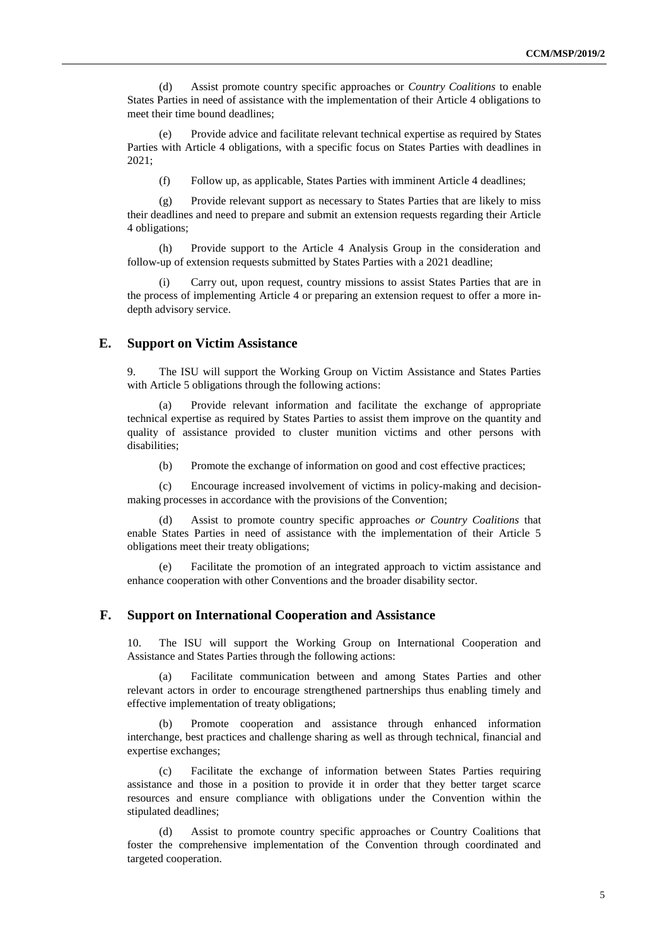(d) Assist promote country specific approaches or *Country Coalitions* to enable States Parties in need of assistance with the implementation of their Article 4 obligations to meet their time bound deadlines;

(e) Provide advice and facilitate relevant technical expertise as required by States Parties with Article 4 obligations, with a specific focus on States Parties with deadlines in 2021;

(f) Follow up, as applicable, States Parties with imminent Article 4 deadlines;

(g) Provide relevant support as necessary to States Parties that are likely to miss their deadlines and need to prepare and submit an extension requests regarding their Article 4 obligations;

(h) Provide support to the Article 4 Analysis Group in the consideration and follow-up of extension requests submitted by States Parties with a 2021 deadline;

Carry out, upon request, country missions to assist States Parties that are in the process of implementing Article 4 or preparing an extension request to offer a more indepth advisory service.

#### **E. Support on Victim Assistance**

9. The ISU will support the Working Group on Victim Assistance and States Parties with Article 5 obligations through the following actions:

(a) Provide relevant information and facilitate the exchange of appropriate technical expertise as required by States Parties to assist them improve on the quantity and quality of assistance provided to cluster munition victims and other persons with disabilities;

(b) Promote the exchange of information on good and cost effective practices;

(c) Encourage increased involvement of victims in policy-making and decisionmaking processes in accordance with the provisions of the Convention;

Assist to promote country specific approaches or Country Coalitions that enable States Parties in need of assistance with the implementation of their Article 5 obligations meet their treaty obligations;

(e) Facilitate the promotion of an integrated approach to victim assistance and enhance cooperation with other Conventions and the broader disability sector.

#### **F. Support on International Cooperation and Assistance**

10. The ISU will support the Working Group on International Cooperation and Assistance and States Parties through the following actions:

Facilitate communication between and among States Parties and other relevant actors in order to encourage strengthened partnerships thus enabling timely and effective implementation of treaty obligations;

(b) Promote cooperation and assistance through enhanced information interchange, best practices and challenge sharing as well as through technical, financial and expertise exchanges;

(c) Facilitate the exchange of information between States Parties requiring assistance and those in a position to provide it in order that they better target scarce resources and ensure compliance with obligations under the Convention within the stipulated deadlines;

Assist to promote country specific approaches or Country Coalitions that foster the comprehensive implementation of the Convention through coordinated and targeted cooperation.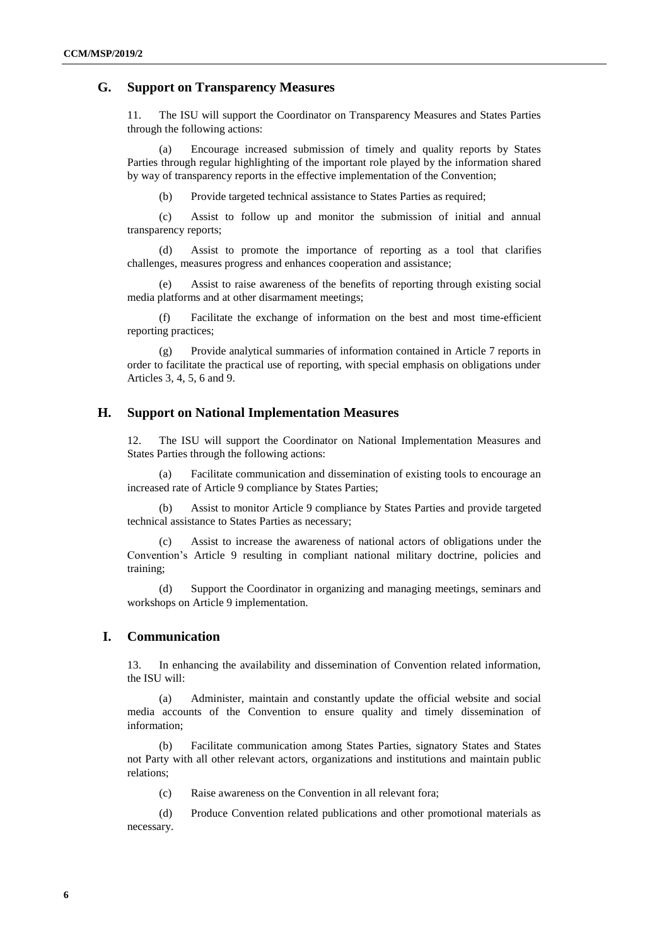### **G. Support on Transparency Measures**

11. The ISU will support the Coordinator on Transparency Measures and States Parties through the following actions:

(a) Encourage increased submission of timely and quality reports by States Parties through regular highlighting of the important role played by the information shared by way of transparency reports in the effective implementation of the Convention;

(b) Provide targeted technical assistance to States Parties as required;

(c) Assist to follow up and monitor the submission of initial and annual transparency reports;

(d) Assist to promote the importance of reporting as a tool that clarifies challenges, measures progress and enhances cooperation and assistance;

Assist to raise awareness of the benefits of reporting through existing social media platforms and at other disarmament meetings;

(f) Facilitate the exchange of information on the best and most time-efficient reporting practices;

(g) Provide analytical summaries of information contained in Article 7 reports in order to facilitate the practical use of reporting, with special emphasis on obligations under Articles 3, 4, 5, 6 and 9.

### **H. Support on National Implementation Measures**

12. The ISU will support the Coordinator on National Implementation Measures and States Parties through the following actions:

(a) Facilitate communication and dissemination of existing tools to encourage an increased rate of Article 9 compliance by States Parties;

(b) Assist to monitor Article 9 compliance by States Parties and provide targeted technical assistance to States Parties as necessary;

(c) Assist to increase the awareness of national actors of obligations under the Convention's Article 9 resulting in compliant national military doctrine, policies and training;

(d) Support the Coordinator in organizing and managing meetings, seminars and workshops on Article 9 implementation.

## **I. Communication**

13. In enhancing the availability and dissemination of Convention related information, the ISU will:

(a) Administer, maintain and constantly update the official website and social media accounts of the Convention to ensure quality and timely dissemination of information;

(b) Facilitate communication among States Parties, signatory States and States not Party with all other relevant actors, organizations and institutions and maintain public relations;

(c) Raise awareness on the Convention in all relevant fora;

(d) Produce Convention related publications and other promotional materials as necessary.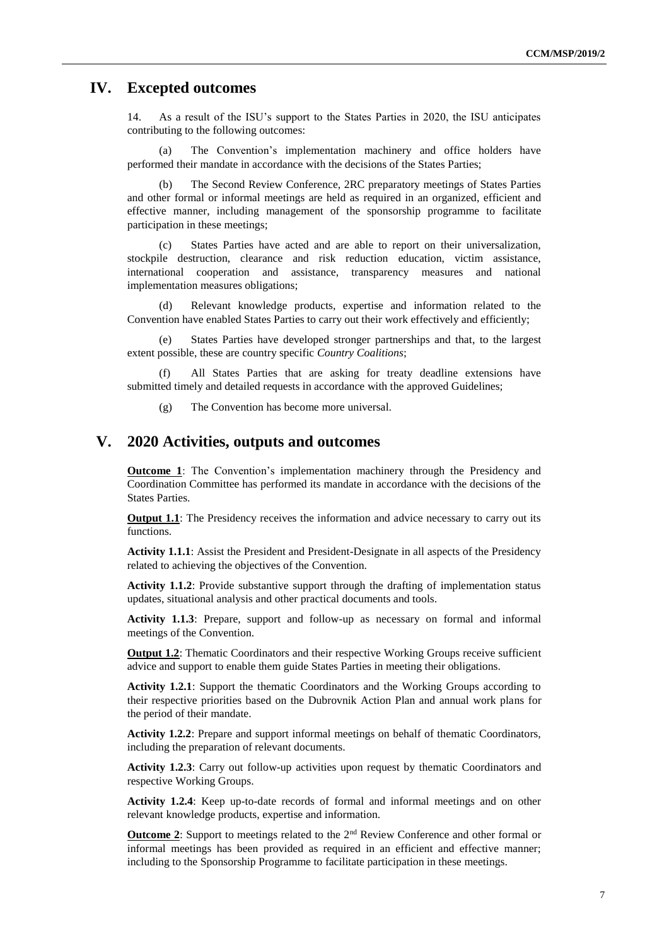## **IV. Excepted outcomes**

14. As a result of the ISU's support to the States Parties in 2020, the ISU anticipates contributing to the following outcomes:

(a) The Convention's implementation machinery and office holders have performed their mandate in accordance with the decisions of the States Parties;

(b) The Second Review Conference, 2RC preparatory meetings of States Parties and other formal or informal meetings are held as required in an organized, efficient and effective manner, including management of the sponsorship programme to facilitate participation in these meetings;

(c) States Parties have acted and are able to report on their universalization, stockpile destruction, clearance and risk reduction education, victim assistance, international cooperation and assistance, transparency measures and national implementation measures obligations;

(d) Relevant knowledge products, expertise and information related to the Convention have enabled States Parties to carry out their work effectively and efficiently;

(e) States Parties have developed stronger partnerships and that, to the largest extent possible, these are country specific *Country Coalitions*;

(f) All States Parties that are asking for treaty deadline extensions have submitted timely and detailed requests in accordance with the approved Guidelines;

(g) The Convention has become more universal.

## **V. 2020 Activities, outputs and outcomes**

**Outcome 1**: The Convention's implementation machinery through the Presidency and Coordination Committee has performed its mandate in accordance with the decisions of the States Parties.

**Output 1.1**: The Presidency receives the information and advice necessary to carry out its functions.

**Activity 1.1.1**: Assist the President and President-Designate in all aspects of the Presidency related to achieving the objectives of the Convention.

**Activity 1.1.2**: Provide substantive support through the drafting of implementation status updates, situational analysis and other practical documents and tools.

**Activity 1.1.3**: Prepare, support and follow-up as necessary on formal and informal meetings of the Convention.

**Output 1.2**: Thematic Coordinators and their respective Working Groups receive sufficient advice and support to enable them guide States Parties in meeting their obligations.

**Activity 1.2.1**: Support the thematic Coordinators and the Working Groups according to their respective priorities based on the Dubrovnik Action Plan and annual work plans for the period of their mandate.

**Activity 1.2.2**: Prepare and support informal meetings on behalf of thematic Coordinators, including the preparation of relevant documents.

**Activity 1.2.3**: Carry out follow-up activities upon request by thematic Coordinators and respective Working Groups.

**Activity 1.2.4**: Keep up-to-date records of formal and informal meetings and on other relevant knowledge products, expertise and information.

**Outcome 2:** Support to meetings related to the 2<sup>nd</sup> Review Conference and other formal or informal meetings has been provided as required in an efficient and effective manner; including to the Sponsorship Programme to facilitate participation in these meetings.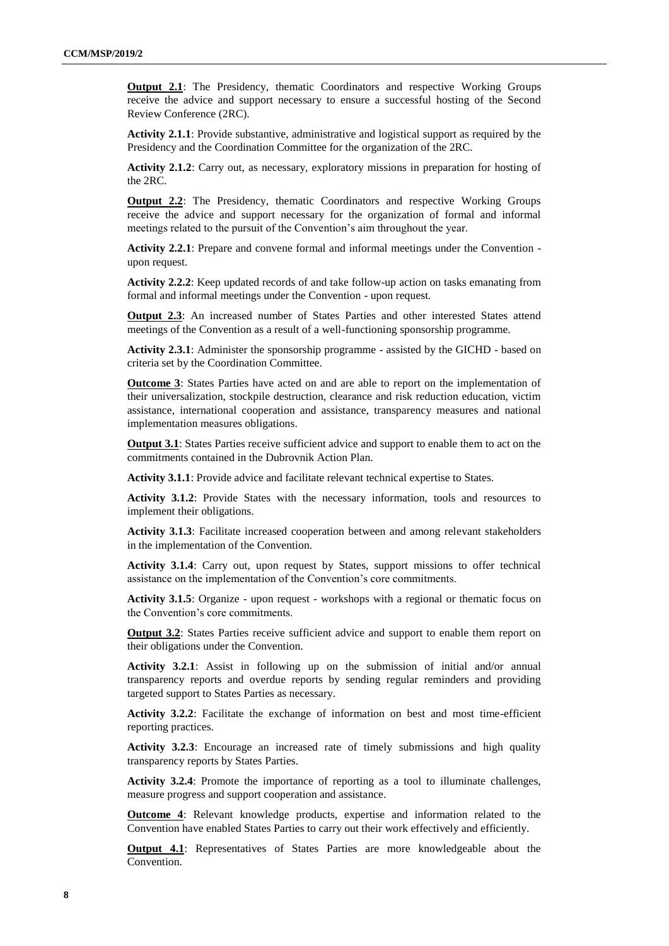**Output 2.1**: The Presidency, thematic Coordinators and respective Working Groups receive the advice and support necessary to ensure a successful hosting of the Second Review Conference (2RC).

**Activity 2.1.1**: Provide substantive, administrative and logistical support as required by the Presidency and the Coordination Committee for the organization of the 2RC.

**Activity 2.1.2**: Carry out, as necessary, exploratory missions in preparation for hosting of the 2RC.

**Output 2.2**: The Presidency, thematic Coordinators and respective Working Groups receive the advice and support necessary for the organization of formal and informal meetings related to the pursuit of the Convention's aim throughout the year.

**Activity 2.2.1**: Prepare and convene formal and informal meetings under the Convention upon request.

**Activity 2.2.2**: Keep updated records of and take follow-up action on tasks emanating from formal and informal meetings under the Convention - upon request.

**Output 2.3**: An increased number of States Parties and other interested States attend meetings of the Convention as a result of a well-functioning sponsorship programme.

**Activity 2.3.1**: Administer the sponsorship programme - assisted by the GICHD - based on criteria set by the Coordination Committee.

**Outcome 3**: States Parties have acted on and are able to report on the implementation of their universalization, stockpile destruction, clearance and risk reduction education, victim assistance, international cooperation and assistance, transparency measures and national implementation measures obligations.

**Output 3.1**: States Parties receive sufficient advice and support to enable them to act on the commitments contained in the Dubrovnik Action Plan.

**Activity 3.1.1**: Provide advice and facilitate relevant technical expertise to States.

**Activity 3.1.2**: Provide States with the necessary information, tools and resources to implement their obligations.

**Activity 3.1.3**: Facilitate increased cooperation between and among relevant stakeholders in the implementation of the Convention.

**Activity 3.1.4**: Carry out, upon request by States, support missions to offer technical assistance on the implementation of the Convention's core commitments.

**Activity 3.1.5**: Organize - upon request - workshops with a regional or thematic focus on the Convention's core commitments.

**Output 3.2**: States Parties receive sufficient advice and support to enable them report on their obligations under the Convention.

**Activity 3.2.1**: Assist in following up on the submission of initial and/or annual transparency reports and overdue reports by sending regular reminders and providing targeted support to States Parties as necessary.

**Activity 3.2.2**: Facilitate the exchange of information on best and most time-efficient reporting practices.

**Activity 3.2.3**: Encourage an increased rate of timely submissions and high quality transparency reports by States Parties.

**Activity 3.2.4**: Promote the importance of reporting as a tool to illuminate challenges, measure progress and support cooperation and assistance.

**Outcome 4**: Relevant knowledge products, expertise and information related to the Convention have enabled States Parties to carry out their work effectively and efficiently.

**Output 4.1**: Representatives of States Parties are more knowledgeable about the Convention.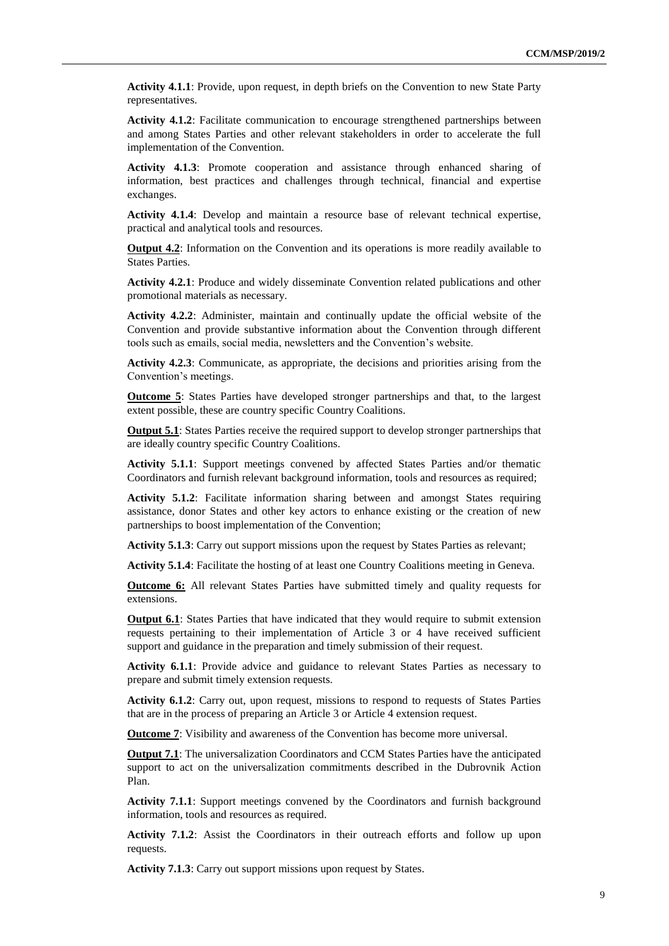**Activity 4.1.1**: Provide, upon request, in depth briefs on the Convention to new State Party representatives.

**Activity 4.1.2**: Facilitate communication to encourage strengthened partnerships between and among States Parties and other relevant stakeholders in order to accelerate the full implementation of the Convention.

**Activity 4.1.3**: Promote cooperation and assistance through enhanced sharing of information, best practices and challenges through technical, financial and expertise exchanges.

**Activity 4.1.4**: Develop and maintain a resource base of relevant technical expertise, practical and analytical tools and resources.

**Output 4.2**: Information on the Convention and its operations is more readily available to States Parties.

**Activity 4.2.1**: Produce and widely disseminate Convention related publications and other promotional materials as necessary.

**Activity 4.2.2**: Administer, maintain and continually update the official website of the Convention and provide substantive information about the Convention through different tools such as emails, social media, newsletters and the Convention's website.

**Activity 4.2.3**: Communicate, as appropriate, the decisions and priorities arising from the Convention's meetings.

**Outcome 5**: States Parties have developed stronger partnerships and that, to the largest extent possible, these are country specific Country Coalitions.

**Output 5.1**: States Parties receive the required support to develop stronger partnerships that are ideally country specific Country Coalitions.

**Activity 5.1.1**: Support meetings convened by affected States Parties and/or thematic Coordinators and furnish relevant background information, tools and resources as required;

**Activity 5.1.2**: Facilitate information sharing between and amongst States requiring assistance, donor States and other key actors to enhance existing or the creation of new partnerships to boost implementation of the Convention;

**Activity 5.1.3**: Carry out support missions upon the request by States Parties as relevant;

**Activity 5.1.4**: Facilitate the hosting of at least one Country Coalitions meeting in Geneva.

**Outcome 6:** All relevant States Parties have submitted timely and quality requests for extensions.

**Output 6.1**: States Parties that have indicated that they would require to submit extension requests pertaining to their implementation of Article 3 or 4 have received sufficient support and guidance in the preparation and timely submission of their request.

**Activity 6.1.1**: Provide advice and guidance to relevant States Parties as necessary to prepare and submit timely extension requests.

**Activity 6.1.2**: Carry out, upon request, missions to respond to requests of States Parties that are in the process of preparing an Article 3 or Article 4 extension request.

**Outcome 7**: Visibility and awareness of the Convention has become more universal.

**Output 7.1**: The universalization Coordinators and CCM States Parties have the anticipated support to act on the universalization commitments described in the Dubrovnik Action Plan.

**Activity 7.1.1**: Support meetings convened by the Coordinators and furnish background information, tools and resources as required.

**Activity 7.1.2**: Assist the Coordinators in their outreach efforts and follow up upon requests.

**Activity 7.1.3**: Carry out support missions upon request by States.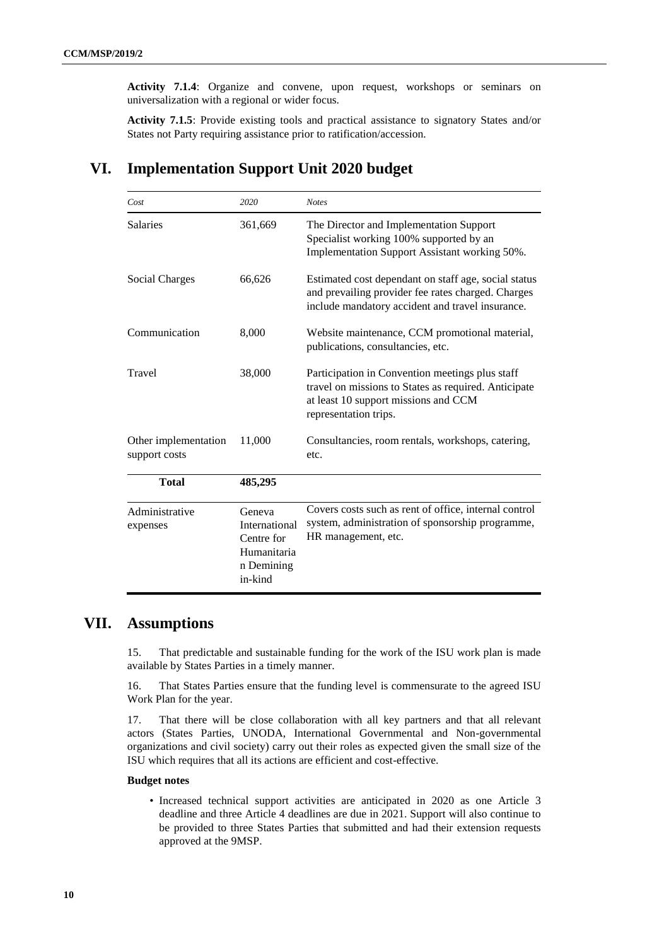**Activity 7.1.4**: Organize and convene, upon request, workshops or seminars on universalization with a regional or wider focus.

**Activity 7.1.5**: Provide existing tools and practical assistance to signatory States and/or States not Party requiring assistance prior to ratification/accession.

## **VI. Implementation Support Unit 2020 budget**

| Cost                                  | 2020                                                                          | <b>Notes</b>                                                                                                                                                             |
|---------------------------------------|-------------------------------------------------------------------------------|--------------------------------------------------------------------------------------------------------------------------------------------------------------------------|
| Salaries                              | 361,669                                                                       | The Director and Implementation Support<br>Specialist working 100% supported by an<br>Implementation Support Assistant working 50%.                                      |
| Social Charges                        | 66,626                                                                        | Estimated cost dependant on staff age, social status<br>and prevailing provider fee rates charged. Charges<br>include mandatory accident and travel insurance.           |
| Communication                         | 8,000                                                                         | Website maintenance, CCM promotional material,<br>publications, consultancies, etc.                                                                                      |
| Travel                                | 38,000                                                                        | Participation in Convention meetings plus staff<br>travel on missions to States as required. Anticipate<br>at least 10 support missions and CCM<br>representation trips. |
| Other implementation<br>support costs | 11,000                                                                        | Consultancies, room rentals, workshops, catering,<br>etc.                                                                                                                |
| <b>Total</b>                          | 485,295                                                                       |                                                                                                                                                                          |
| Administrative<br>expenses            | Geneva<br>International<br>Centre for<br>Humanitaria<br>n Demining<br>in-kind | Covers costs such as rent of office, internal control<br>system, administration of sponsorship programme,<br>HR management, etc.                                         |

## **VII. Assumptions**

15. That predictable and sustainable funding for the work of the ISU work plan is made available by States Parties in a timely manner.

16. That States Parties ensure that the funding level is commensurate to the agreed ISU Work Plan for the year.

17. That there will be close collaboration with all key partners and that all relevant actors (States Parties, UNODA, International Governmental and Non-governmental organizations and civil society) carry out their roles as expected given the small size of the ISU which requires that all its actions are efficient and cost-effective.

#### **Budget notes**

• Increased technical support activities are anticipated in 2020 as one Article 3 deadline and three Article 4 deadlines are due in 2021. Support will also continue to be provided to three States Parties that submitted and had their extension requests approved at the 9MSP.